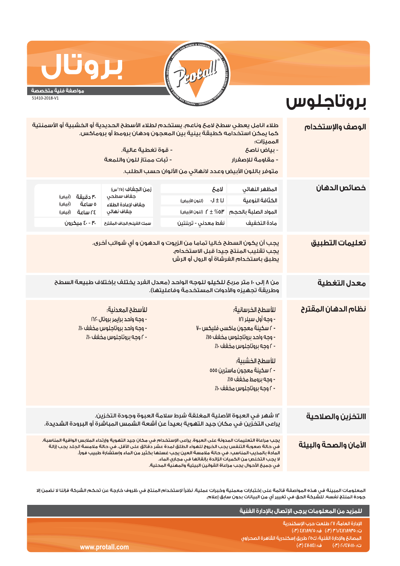

## بروت مواصفة فنية متخصصة

51410-2018-V1

## بروتاجلوس

| الوصف والإستخدام                 | المميزات:<br>- بياض ناصح<br>- مقاومة للإصغرار                                                                                                                                                                                                                                                                                                                                                                                                        | طلاء انامل يعطي سطح لامح وناعم. يستخدم لطلاء الأسطح الحديدية أو الخشبية أو الأسمنتية<br>كما يمكن استخدامه كطبقة بينية بين المعجون ودهان برومط أو بروماكس.<br>متوفر باللون الأبيض وعدد لانهائي من الألوان حسب الطلب. | - قوة تغطية عالية.<br>- ثبات ممتاز للون واللمعة                                                                  |                                                                          |  |  |
|----------------------------------|------------------------------------------------------------------------------------------------------------------------------------------------------------------------------------------------------------------------------------------------------------------------------------------------------------------------------------------------------------------------------------------------------------------------------------------------------|---------------------------------------------------------------------------------------------------------------------------------------------------------------------------------------------------------------------|------------------------------------------------------------------------------------------------------------------|--------------------------------------------------------------------------|--|--|
| خصائص الدهان                     | المظهر النهائي<br>الكثافة النوعية<br>المواد الصلبة بالحجم<br>مادة التخفيف                                                                                                                                                                                                                                                                                                                                                                            | لامح<br>$\sqrt{1 \pm 1}$<br>(للون الأبيض)<br>(للون الأبيض) $\uparrow \pm \%$ O۳<br>نفط معدني - تربنتين                                                                                                              | زمن الجغاف (٢٥°س)<br>جغاف سطحى<br>جفاف لإعادة الطلاء<br>جغاف نهائى<br>سمك الغيلم الجاف المقترح                   | ٣٠ دقيقة (أبيض)<br>ە ساعة<br>(أبيض)<br>(أبيض) d (أبيض)<br>٤٠ - ٤٠ ميکرون |  |  |
| تعليمات التطبيق                  | يجب أن يكون السطح خاليا تماما من الزيوت و الدهون و أي شوائب أخرى.<br>يجب تقليب المنتج جيدا قبل الاستخدام.<br>يطبق باستخدام الفرشاة أو الرول أو الرش                                                                                                                                                                                                                                                                                                  |                                                                                                                                                                                                                     |                                                                                                                  |                                                                          |  |  |
| معدل التغطية                     | من ٨ إلى ١٠ متر مربحَ للكيلو للوجه الواحد (معدل الفرد يختلف بإختلاف طبيعة السطح<br>وطريقة تجهيزه والأدوات المستخدمة وفاعليتها).                                                                                                                                                                                                                                                                                                                      |                                                                                                                                                                                                                     |                                                                                                                  |                                                                          |  |  |
| <mark>نظام الدهان المقترح</mark> | للأسطح الخرسانية؛<br>- وجه أول سيلر ١٢١<br>- ٢ سكينة معجون ماكسى فليكس ٧٠٠<br>- وجه واحد بروتاجلوس مخفف ١٥٪<br>- ٢ وجه بروتاجلوس مخفف ١٠٪<br>للأسطح الخشبية؛<br>- r سكينة معجون ماسترين ٥٥٥<br>- وجه برومط مخفف ١٥٪<br>- ٢ وجه بروتاجلوس مخفف ١٠٪                                                                                                                                                                                                    |                                                                                                                                                                                                                     | للأسطح المعدنية:<br>- وجه واحد برايمر بروتال ١٦٢٠<br>- وجه واحد بروتاجلوس مخفف ١٠٪<br>- ٢ وجه بروتاجلوس مخفف ١٠٪ |                                                                          |  |  |
| االتخزين والصلاحية               |                                                                                                                                                                                                                                                                                                                                                                                                                                                      | ١٢ شهر في العبوة الأصلية المغلقة شرط سلامة العبوة وجودة التخزين.<br>يراعى التخزين في مكان جيد التهوية بعيداً عن أشعة الشمس المباشرة أو البرودة الشديدة.                                                             |                                                                                                                  |                                                                          |  |  |
| الأمان والصحة والبيئة            | يجب مراعاة التعليمات المدونة على العبوة. يراعى الإستخدام في مكان جيد التهوية وإرتداء الملابس الواقية المناسبة.<br>فى حالة صعوبة التنفس يجب الخروج للهواء الطلق لمدة عشر دقائق على الأقل. فى حالة ملامسة الجلد يجب إزالة<br>المادة بالمذيب المناسب. في حالة ملامسة العين يجب غسلها بكثير من الماء وإستشارة طبيب فوراً.<br>لا يجب التخلص من الكميات الزائدة بإلقائها في مجاري الماء.<br>في حميمُ الأحوال بحب مراعاة القوانين البيئية والمهنية المحلية. |                                                                                                                                                                                                                     |                                                                                                                  |                                                                          |  |  |

المعلومات المبينة في هذه المواصفة قائمة على إختبارات معملية وخبرات عملية. نظراً لإستخدام المنتج في ظروف خارجة عن تحكم الشركة فإننا لا نضمن إلا<br>جودة المنتج نفسه. للشركة الحق في تغيير أي من البيانات بدون سابق إعلام.

|                 | َ لَلَمزيد مِنَ المعلومات يرجَى الإتصال بالإدارة الفنية ا                                                           |
|-----------------|---------------------------------------------------------------------------------------------------------------------|
|                 | الادارة العامة؛ ٢٧ طلعت حرب الاسكندرية<br>ت: ٥٣٥/٢٨٦/٢/٣ (٣٠) ف: ٤٨٦/٩٢٥ (٣٠)                                       |
|                 | اً المصانع والإدارة الفنية؛ ك٥٥ طريق إسكندرية القاهرة الصحراوى ا<br>ف: ٤٧٠١١٤١ (٢٠)<br>$\Gamma$ (۳) ۲۰/٤۷۰۱۱۱۰۰ (۳) |
| www.protall.com |                                                                                                                     |